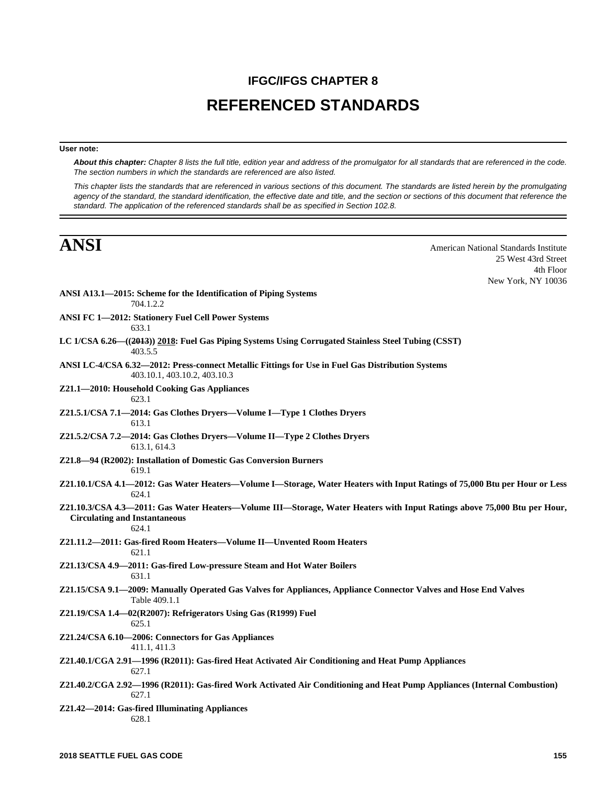# **IFGC/IFGS CHAPTER 8 REFERENCED STANDARDS**

## **User note:**

*About this chapter: Chapter 8 lists the full title, edition year and address of the promulgator for all standards that are referenced in the code. The section numbers in which the standards are referenced are also listed.*

*This chapter lists the standards that are referenced in various sections of this document. The standards are listed herein by the promulgating agency of the standard, the standard identification, the effective date and title, and the section or sections of this document that reference the standard. The application of the referenced standards shall be as specified in Section 102.8.*

**ANSI** American National Standards Institute 25 West 43rd Street 4th Floor New York, NY 10036

| ANSI A13.1-2015: Scheme for the Identification of Piping Systems<br>704.1.2.2                                                                                             |
|---------------------------------------------------------------------------------------------------------------------------------------------------------------------------|
| ANSI FC 1-2012: Stationery Fuel Cell Power Systems<br>633.1                                                                                                               |
| LC 1/CSA 6.26-((2013)) 2018: Fuel Gas Piping Systems Using Corrugated Stainless Steel Tubing (CSST)<br>403.5.5                                                            |
| ANSI LC-4/CSA 6.32-2012: Press-connect Metallic Fittings for Use in Fuel Gas Distribution Systems<br>403.10.1, 403.10.2, 403.10.3                                         |
| Z21.1-2010: Household Cooking Gas Appliances<br>623.1                                                                                                                     |
| Z21.5.1/CSA 7.1—2014: Gas Clothes Dryers—Volume I—Type 1 Clothes Dryers<br>613.1                                                                                          |
| Z21.5.2/CSA 7.2-2014: Gas Clothes Dryers-Volume II-Type 2 Clothes Dryers<br>613.1, 614.3                                                                                  |
| Z21.8-94 (R2002): Installation of Domestic Gas Conversion Burners<br>619.1                                                                                                |
| Z21.10.1/CSA 4.1-2012: Gas Water Heaters-Volume I-Storage, Water Heaters with Input Ratings of 75,000 Btu per Hour or Less<br>624.1                                       |
| Z21.10.3/CSA 4.3—2011: Gas Water Heaters—Volume III—Storage, Water Heaters with Input Ratings above 75,000 Btu per Hour,<br><b>Circulating and Instantaneous</b><br>624.1 |
| Z21.11.2-2011: Gas-fired Room Heaters-Volume II-Unvented Room Heaters<br>621.1                                                                                            |
| Z21.13/CSA 4.9-2011: Gas-fired Low-pressure Steam and Hot Water Boilers<br>631.1                                                                                          |
| Z21.15/CSA 9.1—2009: Manually Operated Gas Valves for Appliances, Appliance Connector Valves and Hose End Valves<br>Table 409.1.1                                         |
| Z21.19/CSA 1.4—02(R2007): Refrigerators Using Gas (R1999) Fuel<br>625.1                                                                                                   |
| Z21.24/CSA 6.10-2006: Connectors for Gas Appliances<br>411.1, 411.3                                                                                                       |
| Z21.40.1/CGA 2.91—1996 (R2011): Gas-fired Heat Activated Air Conditioning and Heat Pump Appliances<br>627.1                                                               |
| Z21.40.2/CGA 2.92—1996 (R2011): Gas-fired Work Activated Air Conditioning and Heat Pump Appliances (Internal Combustion)<br>627.1                                         |
| Z21.42-2014: Gas-fired Illuminating Appliances<br>628.1                                                                                                                   |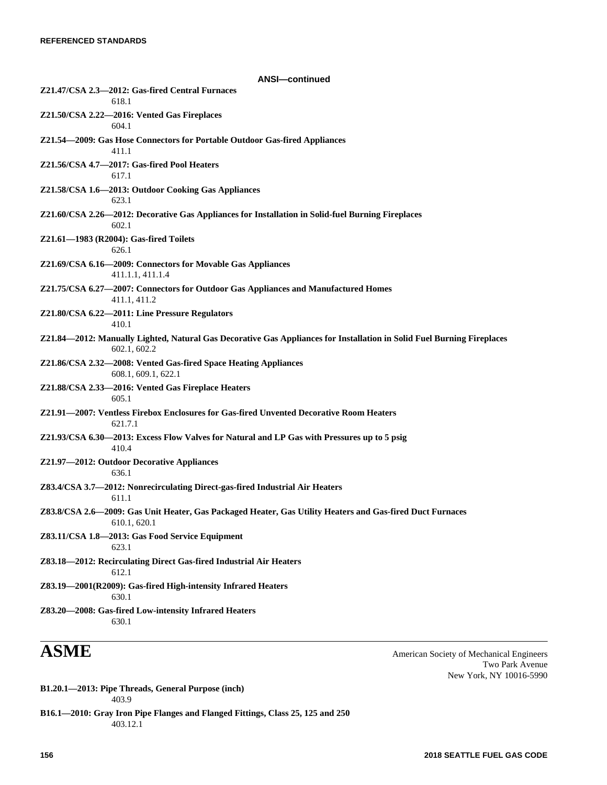| <b>ANSI-continued</b>                                                                                                                  |  |
|----------------------------------------------------------------------------------------------------------------------------------------|--|
| Z21.47/CSA 2.3-2012: Gas-fired Central Furnaces<br>618.1                                                                               |  |
| Z21.50/CSA 2.22-2016: Vented Gas Fireplaces<br>604.1                                                                                   |  |
| Z21.54—2009: Gas Hose Connectors for Portable Outdoor Gas-fired Appliances<br>411.1                                                    |  |
| Z21.56/CSA 4.7-2017: Gas-fired Pool Heaters<br>617.1                                                                                   |  |
| Z21.58/CSA 1.6-2013: Outdoor Cooking Gas Appliances<br>623.1                                                                           |  |
| Z21.60/CSA 2.26-2012: Decorative Gas Appliances for Installation in Solid-fuel Burning Fireplaces<br>602.1                             |  |
| Z21.61-1983 (R2004): Gas-fired Toilets<br>626.1                                                                                        |  |
| Z21.69/CSA 6.16-2009: Connectors for Movable Gas Appliances<br>411.1.1, 411.1.4                                                        |  |
| Z21.75/CSA 6.27-2007: Connectors for Outdoor Gas Appliances and Manufactured Homes<br>411.1, 411.2                                     |  |
| Z21.80/CSA 6.22-2011: Line Pressure Regulators<br>410.1                                                                                |  |
| Z21.84—2012: Manually Lighted, Natural Gas Decorative Gas Appliances for Installation in Solid Fuel Burning Fireplaces<br>602.1, 602.2 |  |
| Z21.86/CSA 2.32-2008: Vented Gas-fired Space Heating Appliances<br>608.1, 609.1, 622.1                                                 |  |
| Z21.88/CSA 2.33-2016: Vented Gas Fireplace Heaters<br>605.1                                                                            |  |
| Z21.91—2007: Ventless Firebox Enclosures for Gas-fired Unvented Decorative Room Heaters<br>621.7.1                                     |  |
| Z21.93/CSA 6.30—2013: Excess Flow Valves for Natural and LP Gas with Pressures up to 5 psig<br>410.4                                   |  |
| Z21.97-2012: Outdoor Decorative Appliances<br>636.1                                                                                    |  |
| Z83.4/CSA 3.7-2012: Nonrecirculating Direct-gas-fired Industrial Air Heaters<br>611.1                                                  |  |
| Z83.8/CSA 2.6-2009: Gas Unit Heater, Gas Packaged Heater, Gas Utility Heaters and Gas-fired Duct Furnaces<br>610.1, 620.1              |  |
| Z83.11/CSA 1.8-2013: Gas Food Service Equipment<br>623.1                                                                               |  |
| Z83.18-2012: Recirculating Direct Gas-fired Industrial Air Heaters<br>612.1                                                            |  |
| Z83.19-2001(R2009): Gas-fired High-intensity Infrared Heaters<br>630.1                                                                 |  |
| Z83.20-2008: Gas-fired Low-intensity Infrared Heaters<br>630.1                                                                         |  |

**ASME** American Society of Mechanical Engineers Two Park Avenue New York, NY 10016-5990

- **B1.20.1—2013: Pipe Threads, General Purpose (inch)** 403.9
- **B16.1—2010: Gray Iron Pipe Flanges and Flanged Fittings, Class 25, 125 and 250** 403.12.1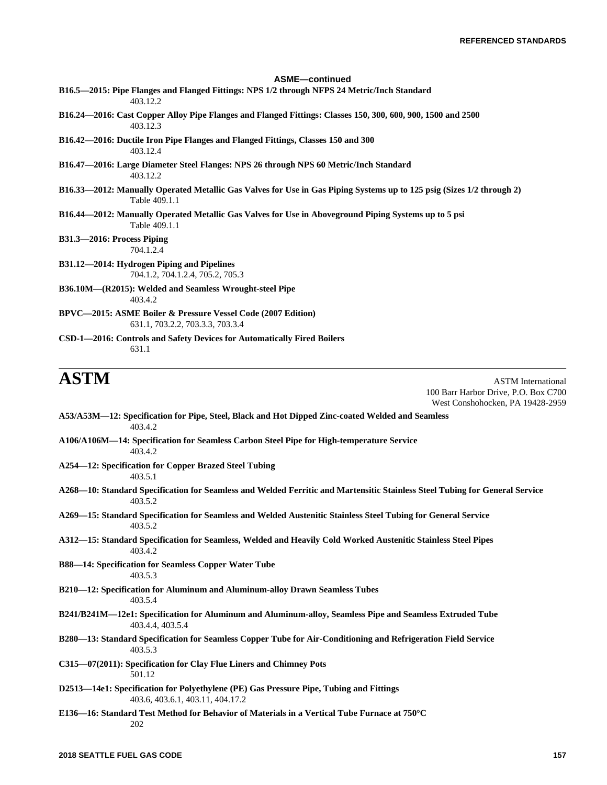# **ASME—continued B16.5—2015: Pipe Flanges and Flanged Fittings: NPS 1/2 through NFPS 24 Metric/Inch Standard** 403.12.2 **B16.24—2016: Cast Copper Alloy Pipe Flanges and Flanged Fittings: Classes 150, 300, 600, 900, 1500 and 2500** 403.12.3 **B16.42—2016: Ductile Iron Pipe Flanges and Flanged Fittings, Classes 150 and 300** 403.12.4 **B16.47—2016: Large Diameter Steel Flanges: NPS 26 through NPS 60 Metric/Inch Standard** 403.12.2 **B16.33—2012: Manually Operated Metallic Gas Valves for Use in Gas Piping Systems up to 125 psig (Sizes 1/2 through 2)** Table 409.1.1 **B16.44—2012: Manually Operated Metallic Gas Valves for Use in Aboveground Piping Systems up to 5 psi** Table 409.1.1 **B31.3—2016: Process Piping** 704.1.2.4 **B31.12—2014: Hydrogen Piping and Pipelines** 704.1.2, 704.1.2.4, 705.2, 705.3 **B36.10M—(R2015): Welded and Seamless Wrought-steel Pipe** 403.4.2 **BPVC—2015: ASME Boiler & Pressure Vessel Code (2007 Edition)** 631.1, 703.2.2, 703.3.3, 703.3.4

**CSD-1—2016: Controls and Safety Devices for Automatically Fired Boilers** 631.1

**ASTM** ASTM International 100 Barr Harbor Drive, P.O. Box C700 West Conshohocken, PA 19428-2959

- **A53/A53M—12: Specification for Pipe, Steel, Black and Hot Dipped Zinc-coated Welded and Seamless** 403.4.2
- **A106/A106M—14: Specification for Seamless Carbon Steel Pipe for High-temperature Service** 403.4.2
- **A254—12: Specification for Copper Brazed Steel Tubing** 403.5.1
- **A268—10: Standard Specification for Seamless and Welded Ferritic and Martensitic Stainless Steel Tubing for General Service** 403.5.2
- **A269—15: Standard Specification for Seamless and Welded Austenitic Stainless Steel Tubing for General Service** 403.5.2
- **A312—15: Standard Specification for Seamless, Welded and Heavily Cold Worked Austenitic Stainless Steel Pipes** 403.4.2
- **B88—14: Specification for Seamless Copper Water Tube** 403.5.3
- **B210—12: Specification for Aluminum and Aluminum-alloy Drawn Seamless Tubes** 403.5.4
- **B241/B241M—12e1: Specification for Aluminum and Aluminum-alloy, Seamless Pipe and Seamless Extruded Tube** 403.4.4, 403.5.4
- **B280—13: Standard Specification for Seamless Copper Tube for Air-Conditioning and Refrigeration Field Service** 403.5.3
- **C315—07(2011): Specification for Clay Flue Liners and Chimney Pots** 501.12
- **D2513—14e1: Specification for Polyethylene (PE) Gas Pressure Pipe, Tubing and Fittings** 403.6, 403.6.1, 403.11, 404.17.2
- **E136—16: Standard Test Method for Behavior of Materials in a Vertical Tube Furnace at 750°C** 202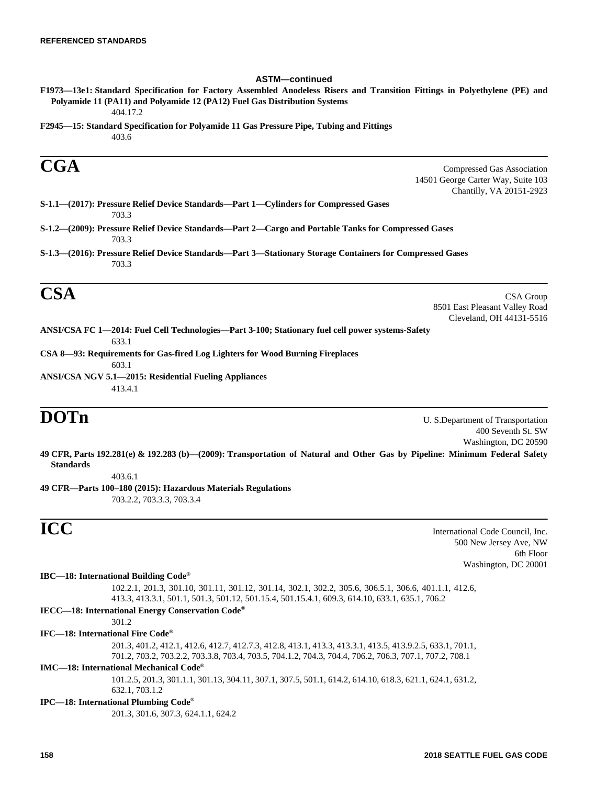### **ASTM—continued**

404.17.2

**F2945—15: Standard Specification for Polyamide 11 Gas Pressure Pipe, Tubing and Fittings** 403.6

**CGA** Compressed Gas Association 14501 George Carter Way, Suite 103 Chantilly, VA 20151-2923

**S-1.1—(2017): Pressure Relief Device Standards—Part 1—Cylinders for Compressed Gases** 703.3

**S-1.2—(2009): Pressure Relief Device Standards—Part 2—Cargo and Portable Tanks for Compressed Gases** 703.3

**S-1.3—(2016): Pressure Relief Device Standards—Part 3—Stationary Storage Containers for Compressed Gases** 703.3

 $\mathbf{CSA}$  CSA Group 8501 East Pleasant Valley Road Cleveland, OH 44131-5516

**ANSI/CSA FC 1—2014: Fuel Cell Technologies—Part 3-100; Stationary fuel cell power systems-Safety** 633.1

**CSA 8—93: Requirements for Gas-fired Log Lighters for Wood Burning Fireplaces** 603.1

**ANSI/CSA NGV 5.1—2015: Residential Fueling Appliances** 413.4.1

**DOTn** U. S.Department of Transportation 400 Seventh St. SW Washington, DC 20590

**49 CFR, Parts 192.281(e) & 192.283 (b)—(2009): Transportation of Natural and Other Gas by Pipeline: Minimum Federal Safety Standards**

403.6.1

**49 CFR—Parts 100–180 (2015): Hazardous Materials Regulations** 703.2.2, 703.3.3, 703.3.4

**ICC** International Code Council, Inc. 500 New Jersey Ave, NW 6th Floor Washington, DC 20001

# **IBC—18: International Building Code®**

102.2.1, 201.3, 301.10, 301.11, 301.12, 301.14, 302.1, 302.2, 305.6, 306.5.1, 306.6, 401.1.1, 412.6, 413.3, 413.3.1, 501.1, 501.3, 501.12, 501.15.4, 501.15.4.1, 609.3, 614.10, 633.1, 635.1, 706.2

# **IECC—18: International Energy Conservation Code®**

 $301.2$ 

# **IFC—18: International Fire Code®**

201.3, 401.2, 412.1, 412.6, 412.7, 412.7.3, 412.8, 413.1, 413.3, 413.3.1, 413.5, 413.9.2.5, 633.1, 701.1, 701.2, 703.2, 703.2.2, 703.3.8, 703.4, 703.5, 704.1.2, 704.3, 704.4, 706.2, 706.3, 707.1, 707.2, 708.1

## **IMC—18: International Mechanical Code®**

101.2.5, 201.3, 301.1.1, 301.13, 304.11, 307.1, 307.5, 501.1, 614.2, 614.10, 618.3, 621.1, 624.1, 631.2, 632.1, 703.1.2

## **IPC—18: International Plumbing Code®**

201.3, 301.6, 307.3, 624.1.1, 624.2

**F1973—13e1: Standard Specification for Factory Assembled Anodeless Risers and Transition Fittings in Polyethylene (PE) and Polyamide 11 (PA11) and Polyamide 12 (PA12) Fuel Gas Distribution Systems**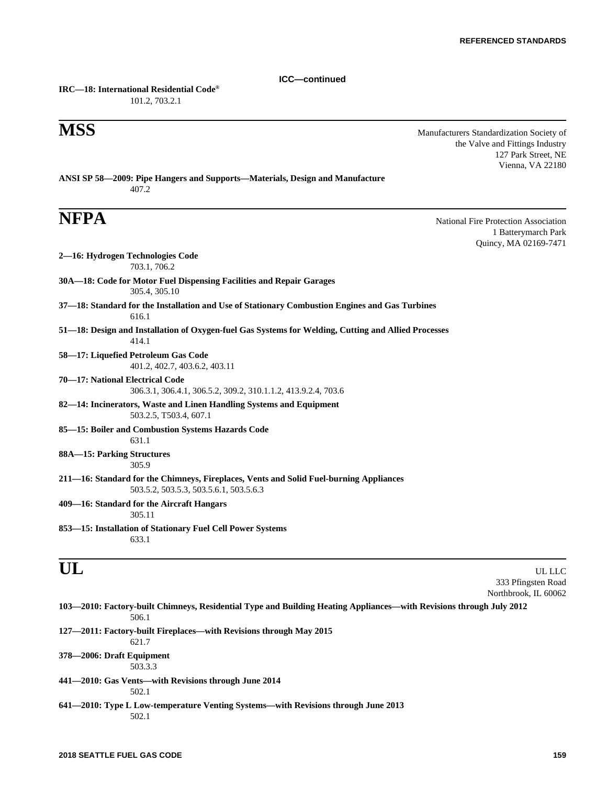**ICC—continued**

**IRC—18: International Residential Code®** 101.2, 703.2.1

**MSS** Manufacturers Standardization Society of the Valve and Fittings Industry 127 Park Street, NE Vienna, VA 22180

**ANSI SP 58—2009: Pipe Hangers and Supports—Materials, Design and Manufacture** 407.2

**NFPA** National Fire Protection Association 1 Batterymarch Park Quincy, MA 02169-7471

| 2—16: Hydrogen Technologies Code<br>703.1, 706.2                                                                                 |        |
|----------------------------------------------------------------------------------------------------------------------------------|--------|
| 30A-18: Code for Motor Fuel Dispensing Facilities and Repair Garages<br>305.4, 305.10                                            |        |
| 37—18: Standard for the Installation and Use of Stationary Combustion Engines and Gas Turbines<br>616.1                          |        |
| 51—18: Design and Installation of Oxygen-fuel Gas Systems for Welding, Cutting and Allied Processes<br>414.1                     |        |
| 58-17: Liquefied Petroleum Gas Code<br>401.2, 402.7, 403.6.2, 403.11                                                             |        |
| 70-17: National Electrical Code<br>306.3.1, 306.4.1, 306.5.2, 309.2, 310.1.1.2, 413.9.2.4, 703.6                                 |        |
| 82—14: Incinerators, Waste and Linen Handling Systems and Equipment<br>503.2.5, T503.4, 607.1                                    |        |
| 85-15: Boiler and Combustion Systems Hazards Code<br>631.1                                                                       |        |
| 88A-15: Parking Structures<br>305.9                                                                                              |        |
| 211—16: Standard for the Chimneys, Fireplaces, Vents and Solid Fuel-burning Appliances<br>503.5.2, 503.5.3, 503.5.6.1, 503.5.6.3 |        |
| 409-16: Standard for the Aircraft Hangars<br>305.11                                                                              |        |
| 853-15: Installation of Stationary Fuel Cell Power Systems<br>633.1                                                              |        |
|                                                                                                                                  | UL LLC |

# 333 Pfingsten Road Northbrook, IL 60062

| 103—2010: Factory-built Chimneys, Residential Type and Building Heating Appliances—with Revisions through July 2012<br>506.1 |  |
|------------------------------------------------------------------------------------------------------------------------------|--|
| 127—2011: Factory-built Fireplaces—with Revisions through May 2015<br>621.7                                                  |  |
| 378—2006: Draft Equipment<br>503.3.3                                                                                         |  |
| 441—2010: Gas Vents—with Revisions through June 2014<br>502.1                                                                |  |
| 641—2010: Type L Low-temperature Venting Systems—with Revisions through June 2013<br>502.1                                   |  |